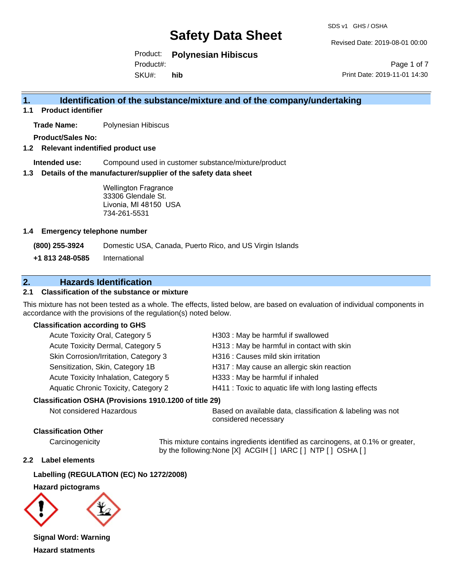SDS v1 GHS / OSHA

Revised Date: 2019-08-01 00:00

Product: **Polynesian Hibiscus**

Product#:

SKU#: **hib**

Page 1 of 7 Print Date: 2019-11-01 14:30

## **1. Identification of the substance/mixture and of the company/undertaking**

**1.1 Product identifier**

**Trade Name:** Polynesian Hibiscus

**Product/Sales No:**

### **1.2 Relevant indentified product use**

**Intended use:** Compound used in customer substance/mixture/product

### **1.3 Details of the manufacturer/supplier of the safety data sheet**

Wellington Fragrance 33306 Glendale St. Livonia, MI 48150 USA 734-261-5531

### **1.4 Emergency telephone number**

**(800) 255-3924** Domestic USA, Canada, Puerto Rico, and US Virgin Islands

**+1 813 248-0585** International

## **2. Hazards Identification**

### **2.1 Classification of the substance or mixture**

This mixture has not been tested as a whole. The effects, listed below, are based on evaluation of individual components in accordance with the provisions of the regulation(s) noted below.

### **Classification according to GHS**

| Acute Toxicity Oral, Category 5       | H303 : May be harmful if swallowed                     |
|---------------------------------------|--------------------------------------------------------|
| Acute Toxicity Dermal, Category 5     | H313 : May be harmful in contact with skin             |
| Skin Corrosion/Irritation, Category 3 | H316 : Causes mild skin irritation                     |
| Sensitization, Skin, Category 1B      | H317 : May cause an allergic skin reaction             |
| Acute Toxicity Inhalation, Category 5 | H333: May be harmful if inhaled                        |
| Aquatic Chronic Toxicity, Category 2  | H411 : Toxic to aquatic life with long lasting effects |
|                                       |                                                        |

### **Classification OSHA (Provisions 1910.1200 of title 29)**

Not considered Hazardous **Based on available data, classification & labeling was not** considered necessary

### **Classification Other**

Carcinogenicity This mixture contains ingredients identified as carcinogens, at 0.1% or greater, by the following:None [X] ACGIH [ ] IARC [ ] NTP [ ] OSHA [ ]

### **2.2 Label elements**

### **Labelling (REGULATION (EC) No 1272/2008)**

**Hazard pictograms**



**Signal Word: Warning Hazard statments**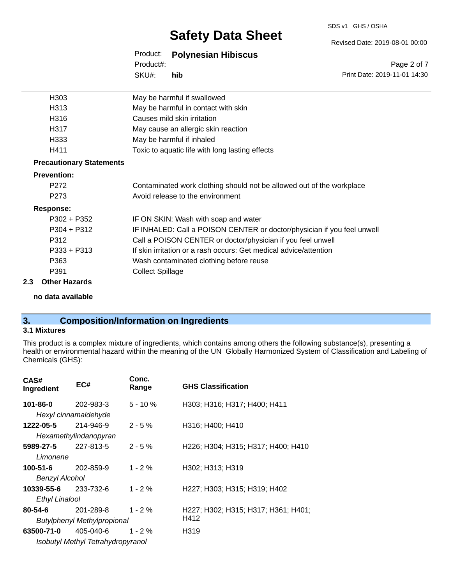### SDS v1 GHS / OSHA

# **Safety Data Sheet**

## Product: **Polynesian Hibiscus**

SKU#: Product#: **hib**

Page 2 of 7 Print Date: 2019-11-01 14:30

Revised Date: 2019-08-01 00:00

| H303                            | May be harmful if swallowed                                             |
|---------------------------------|-------------------------------------------------------------------------|
| H313                            | May be harmful in contact with skin                                     |
| H316                            | Causes mild skin irritation                                             |
| H317                            | May cause an allergic skin reaction                                     |
| H333                            | May be harmful if inhaled                                               |
| H411                            | Toxic to aquatic life with long lasting effects                         |
| <b>Precautionary Statements</b> |                                                                         |
| <b>Prevention:</b>              |                                                                         |
| P272                            | Contaminated work clothing should not be allowed out of the workplace   |
| P <sub>273</sub>                | Avoid release to the environment                                        |
| Response:                       |                                                                         |
| $P302 + P352$                   | IF ON SKIN: Wash with soap and water                                    |
| $P304 + P312$                   | IF INHALED: Call a POISON CENTER or doctor/physician if you feel unwell |
| P312                            | Call a POISON CENTER or doctor/physician if you feel unwell             |
| $P333 + P313$                   | If skin irritation or a rash occurs: Get medical advice/attention       |
| P363                            | Wash contaminated clothing before reuse                                 |
| P391                            | <b>Collect Spillage</b>                                                 |
| 00 Athen Hemande                |                                                                         |

### **2.3 Other Hazards**

**no data available**

## **3. Composition/Information on Ingredients**

### **3.1 Mixtures**

This product is a complex mixture of ingredients, which contains among others the following substance(s), presenting a health or environmental hazard within the meaning of the UN Globally Harmonized System of Classification and Labeling of Chemicals (GHS):

| CAS#<br>Ingredient         | EC#                               | Conc.<br>Range | <b>GHS Classification</b>           |
|----------------------------|-----------------------------------|----------------|-------------------------------------|
| 101-86-0                   | 202-983-3                         | $5 - 10 \%$    | H303; H316; H317; H400; H411        |
|                            | Hexyl cinnamaldehyde              |                |                                     |
| 1222-05-5                  | 214-946-9                         | $2 - 5%$       | H316; H400; H410                    |
|                            | Hexamethylindanopyran             |                |                                     |
| <b>5989-27-5</b> 227-813-5 |                                   | $2 - 5 \%$     | H226; H304; H315; H317; H400; H410  |
| Limonene                   |                                   |                |                                     |
| 100-51-6                   | 202-859-9                         | $1 - 2%$       | H302; H313; H319                    |
| Benzyl Alcohol             |                                   |                |                                     |
| 10339-55-6                 | 233-732-6                         | $1 - 2 \%$     | H227; H303; H315; H319; H402        |
| <b>Ethyl Linalool</b>      |                                   |                |                                     |
| 80-54-6                    | 201-289-8                         | $1 - 2 \%$     | H227; H302; H315; H317; H361; H401; |
|                            | Butylphenyl Methylpropional       |                | H412                                |
| 63500-71-0                 | 405-040-6                         | $1 - 2%$       | H319                                |
|                            | Isobutyl Methyl Tetrahydropyranol |                |                                     |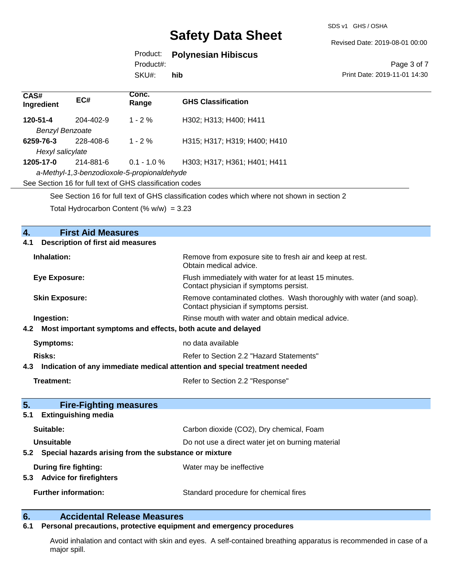SDS v1 GHS / OSHA

Revised Date: 2019-08-01 00:00

### Product: **Polynesian Hibiscus**

Product#:

SKU#: **hib**

### Page 3 of 7 Print Date: 2019-11-01 14:30

| CAS#<br>Ingredient                                                                          | EC#       | Conc.<br>Range | <b>GHS Classification</b>    |
|---------------------------------------------------------------------------------------------|-----------|----------------|------------------------------|
| 120-51-4                                                                                    | 204-402-9 | $1 - 2\%$      | H302; H313; H400; H411       |
| <b>Benzyl Benzoate</b>                                                                      |           |                |                              |
| 6259-76-3                                                                                   | 228-408-6 | $1 - 2\%$      | H315; H317; H319; H400; H410 |
| Hexyl salicylate                                                                            |           |                |                              |
| 1205-17-0                                                                                   | 214-881-6 | $0.1 - 1.0 \%$ | H303: H317: H361: H401: H411 |
| a-Methyl-1,3-benzodioxole-5-propionaldehyde                                                 |           |                |                              |
| See Section 16 for full text of GHS classification codes                                    |           |                |                              |
| See Section 16 for full text of GHS classification codes which where not shown in section 2 |           |                |                              |
| Total Hydrocarbon Content (% $w/w$ ) = 3.23                                                 |           |                |                              |

## **4. First Aid Measures 4.1 Description of first aid measures Inhalation:** Remove from exposure site to fresh air and keep at rest. Obtain medical advice. **Eye Exposure:** Flush immediately with water for at least 15 minutes. Contact physician if symptoms persist. **Skin Exposure:** Remove contaminated clothes. Wash thoroughly with water (and soap). Contact physician if symptoms persist. **Ingestion: Rinse mouth with water and obtain medical advice. Rinse mouth with water and obtain medical advice. 4.2 Most important symptoms and effects, both acute and delayed Symptoms:** no data available **Risks:** Risks: Refer to Section 2.2 "Hazard Statements" **4.3 Indication of any immediate medical attention and special treatment needed Treatment:** Treatment: Refer to Section 2.2 "Response" **5. Fire-Fighting measures 5.1 Extinguishing media Suitable:** Carbon dioxide (CO2), Dry chemical, Foam **Unsuitable** Do not use a direct water jet on burning material **5.2 Special hazards arising from the substance or mixture During fire fighting:** Water may be ineffective **5.3 Advice for firefighters Further information:** Standard procedure for chemical fires

## **6. Accidental Release Measures**

### **6.1 Personal precautions, protective equipment and emergency procedures**

Avoid inhalation and contact with skin and eyes. A self-contained breathing apparatus is recommended in case of a major spill.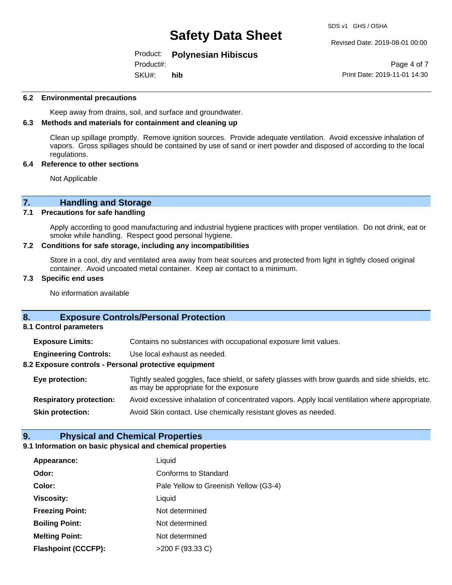### Revised Date: 2019-08-01 00:00

### Product: **Polynesian Hibiscus**

SKU#: Product#: **hib**

Page 4 of 7 Print Date: 2019-11-01 14:30

### **6.2 Environmental precautions**

Keep away from drains, soil, and surface and groundwater.

### **6.3 Methods and materials for containment and cleaning up**

Clean up spillage promptly. Remove ignition sources. Provide adequate ventilation. Avoid excessive inhalation of vapors. Gross spillages should be contained by use of sand or inert powder and disposed of according to the local regulations.

### **6.4 Reference to other sections**

Not Applicable

# **7. Handling and Storage**<br>**7.1** Precautions for safe handling

### **Precautions for safe handling**

Apply according to good manufacturing and industrial hygiene practices with proper ventilation. Do not drink, eat or smoke while handling. Respect good personal hygiene.

### **7.2 Conditions for safe storage, including any incompatibilities**

Store in a cool, dry and ventilated area away from heat sources and protected from light in tightly closed original container. Avoid uncoated metal container. Keep air contact to a minimum.

### **7.3 Specific end uses**

No information available

### **8. Exposure Controls/Personal Protection**

**8.1 Control parameters**

**Exposure Limits:** Contains no substances with occupational exposure limit values.

**Engineering Controls:** Use local exhaust as needed.

### **8.2 Exposure controls - Personal protective equipment**

**Eye protection:** Tightly sealed goggles, face shield, or safety glasses with brow guards and side shields, etc. as may be appropriate for the exposure **Respiratory protection:** Avoid excessive inhalation of concentrated vapors. Apply local ventilation where appropriate.

**Skin protection:** Avoid Skin contact. Use chemically resistant gloves as needed.

### **9. Physical and Chemical Properties**

### **9.1 Information on basic physical and chemical properties**

| Appearance:                | Liquid                                |
|----------------------------|---------------------------------------|
| Odor:                      | Conforms to Standard                  |
| Color:                     | Pale Yellow to Greenish Yellow (G3-4) |
| <b>Viscosity:</b>          | Liquid                                |
| <b>Freezing Point:</b>     | Not determined                        |
| <b>Boiling Point:</b>      | Not determined                        |
| <b>Melting Point:</b>      | Not determined                        |
| <b>Flashpoint (CCCFP):</b> | >200 F (93.33 C)                      |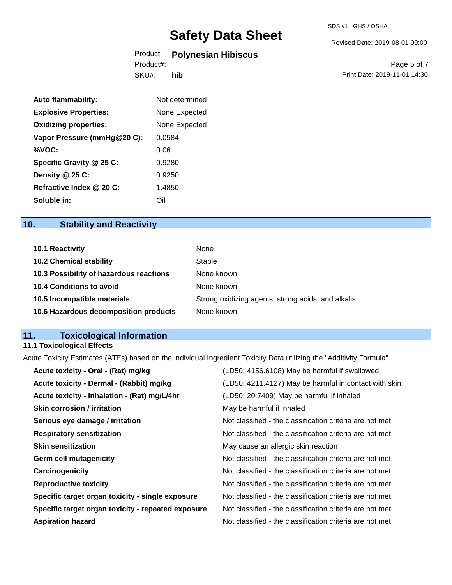### SDS v1 GHS / OSHA

### Revised Date: 2019-08-01 00:00

## Product: **Polynesian Hibiscus**

SKU#: Product#: **hib**

Page 5 of 7 Print Date: 2019-11-01 14:30

| Auto flammability:           | Not determined |
|------------------------------|----------------|
| <b>Explosive Properties:</b> | None Expected  |
| <b>Oxidizing properties:</b> | None Expected  |
| Vapor Pressure (mmHg@20 C):  | 0.0584         |
| %VOC:                        | 0.06           |
| Specific Gravity @ 25 C:     | 0.9280         |
| Density @ 25 C:              | 0.9250         |
| Refractive Index @ 20 C:     | 1.4850         |
| Soluble in:                  | Oil            |

## **10. Stability and Reactivity**

| 10.1 Reactivity                         | None                                               |
|-----------------------------------------|----------------------------------------------------|
| <b>10.2 Chemical stability</b>          | Stable                                             |
| 10.3 Possibility of hazardous reactions | None known                                         |
| 10.4 Conditions to avoid                | None known                                         |
| 10.5 Incompatible materials             | Strong oxidizing agents, strong acids, and alkalis |
| 10.6 Hazardous decomposition products   | None known                                         |

## **11. Toxicological Information**

## **11.1 Toxicological Effects**

Acute Toxicity Estimates (ATEs) based on the individual Ingredient Toxicity Data utilizing the "Additivity Formula"

| Acute toxicity - Oral - (Rat) mg/kg                | (LD50: 4156.6108) May be harmful if swallowed            |
|----------------------------------------------------|----------------------------------------------------------|
| Acute toxicity - Dermal - (Rabbit) mg/kg           | (LD50: 4211.4127) May be harmful in contact with skin    |
| Acute toxicity - Inhalation - (Rat) mg/L/4hr       | (LD50: 20.7409) May be harmful if inhaled                |
| Skin corrosion / irritation                        | May be harmful if inhaled                                |
| Serious eye damage / irritation                    | Not classified - the classification criteria are not met |
| <b>Respiratory sensitization</b>                   | Not classified - the classification criteria are not met |
| <b>Skin sensitization</b>                          | May cause an allergic skin reaction                      |
| <b>Germ cell mutagenicity</b>                      | Not classified - the classification criteria are not met |
| Carcinogenicity                                    | Not classified - the classification criteria are not met |
| <b>Reproductive toxicity</b>                       | Not classified - the classification criteria are not met |
| Specific target organ toxicity - single exposure   | Not classified - the classification criteria are not met |
| Specific target organ toxicity - repeated exposure | Not classified - the classification criteria are not met |
| <b>Aspiration hazard</b>                           | Not classified - the classification criteria are not met |
|                                                    |                                                          |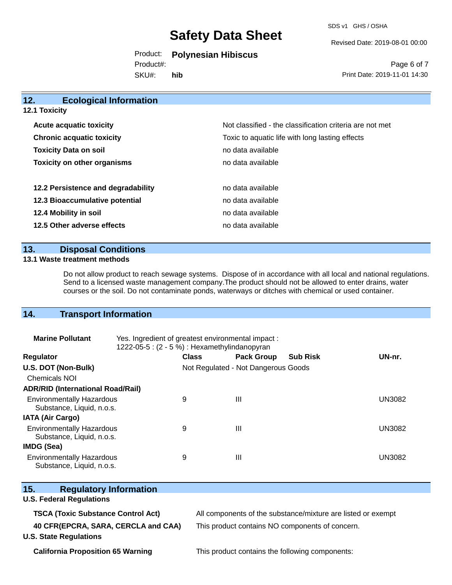SDS v1 GHS / OSHA

Revised Date: 2019-08-01 00:00

Product: **Polynesian Hibiscus**

SKU#: Product#: **hib**

Page 6 of 7 Print Date: 2019-11-01 14:30

| 12.<br><b>Ecological Information</b> |                                                          |
|--------------------------------------|----------------------------------------------------------|
| <b>12.1 Toxicity</b>                 |                                                          |
| <b>Acute acquatic toxicity</b>       | Not classified - the classification criteria are not met |
| <b>Chronic acquatic toxicity</b>     | Toxic to aquatic life with long lasting effects          |
| <b>Toxicity Data on soil</b>         | no data available                                        |
| <b>Toxicity on other organisms</b>   | no data available                                        |
| 12.2 Persistence and degradability   | no data available                                        |
| 12.3 Bioaccumulative potential       | no data available                                        |
| 12.4 Mobility in soil                | no data available                                        |
| 12.5 Other adverse effects           | no data available                                        |

## **13. Disposal Conditions**

### **13.1 Waste treatment methods**

Do not allow product to reach sewage systems. Dispose of in accordance with all local and national regulations. Send to a licensed waste management company.The product should not be allowed to enter drains, water courses or the soil. Do not contaminate ponds, waterways or ditches with chemical or used container.

## **14. Transport Information**

| <b>Marine Pollutant</b>                                       | Yes. Ingredient of greatest environmental impact:<br>1222-05-5 : $(2 - 5%)$ : Hexamethylindanopyran |              |                                     |                 |               |
|---------------------------------------------------------------|-----------------------------------------------------------------------------------------------------|--------------|-------------------------------------|-----------------|---------------|
| <b>Regulator</b>                                              |                                                                                                     | <b>Class</b> | <b>Pack Group</b>                   | <b>Sub Risk</b> | UN-nr.        |
| U.S. DOT (Non-Bulk)                                           |                                                                                                     |              | Not Regulated - Not Dangerous Goods |                 |               |
| Chemicals NOI                                                 |                                                                                                     |              |                                     |                 |               |
| <b>ADR/RID (International Road/Rail)</b>                      |                                                                                                     |              |                                     |                 |               |
| <b>Environmentally Hazardous</b><br>Substance, Liquid, n.o.s. |                                                                                                     | 9            | Ш                                   |                 | <b>UN3082</b> |
| <b>IATA (Air Cargo)</b>                                       |                                                                                                     |              |                                     |                 |               |
| <b>Environmentally Hazardous</b><br>Substance, Liquid, n.o.s. |                                                                                                     | 9            | Ш                                   |                 | <b>UN3082</b> |
| <b>IMDG (Sea)</b>                                             |                                                                                                     |              |                                     |                 |               |
| <b>Environmentally Hazardous</b><br>Substance, Liquid, n.o.s. |                                                                                                     | 9            | Ш                                   |                 | <b>UN3082</b> |

| Substance, Liquid, n.o.s.                 |                                                              |
|-------------------------------------------|--------------------------------------------------------------|
| 15.<br><b>Regulatory Information</b>      |                                                              |
| <b>U.S. Federal Regulations</b>           |                                                              |
| <b>TSCA (Toxic Substance Control Act)</b> | All components of the substance/mixture are listed or exempt |
| 40 CFR(EPCRA, SARA, CERCLA and CAA)       | This product contains NO components of concern.              |
| <b>U.S. State Regulations</b>             |                                                              |
|                                           |                                                              |

**California Proposition 65 Warning This product contains the following components:**